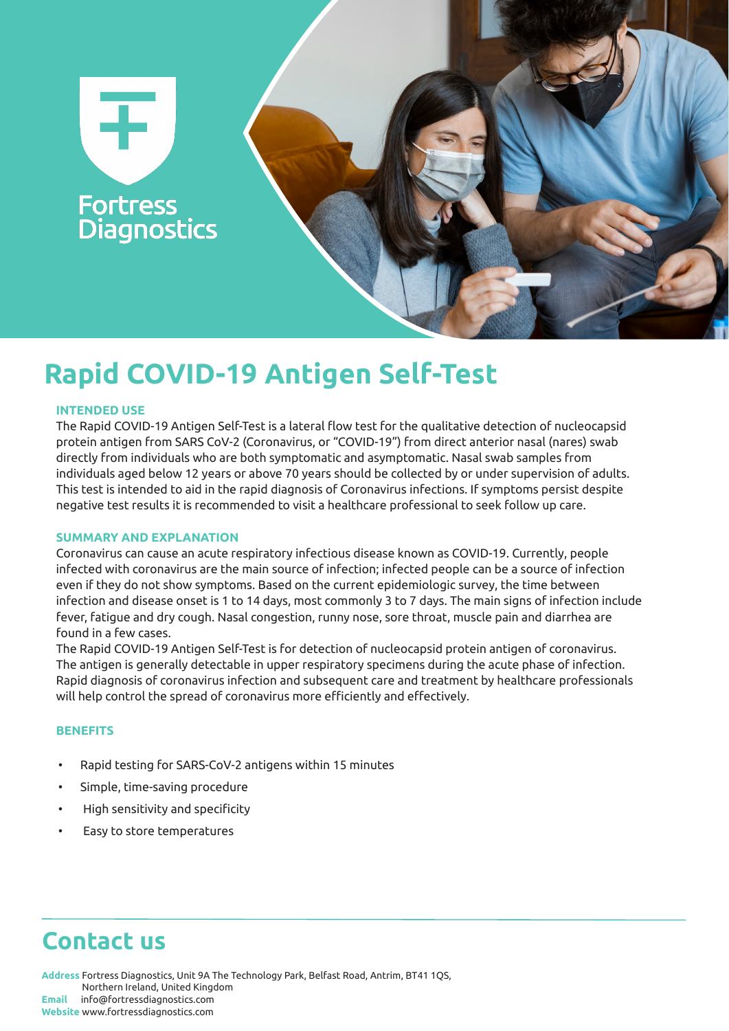

# **Rapid COVID-19 Antigen Self-Test**

### **INTENDED USE**

The Rapid COVID-19 Antigen Self-Test is a lateral flow test for the qualitative detection of nucleocapsid protein antigen from SARS CoV-2 (Coronavirus, or "COVID-19") from direct anterior nasal (nares) swab directly from individuals who are both symptomatic and asymptomatic. Nasal swab samples from individuals aged below 12 years or above 70 years should be collected by or under supervision of adults. This test is intended to aid in the rapid diagnosis of Coronavirus infections. If symptoms persist despite negative test results it is recommended to visit a healthcare professional to seek follow up care.

### **SUMMARY AND EXPLANATION**

Coronavirus can cause an acute respiratory infectious disease known as COVID-19. Currently, people infected with coronavirus are the main source of infection; infected people can be a source of infection even if they do not show symptoms. Based on the current epidemiologic survey, the time between infection and disease onset is 1 to 14 days, most commonly 3 to 7 days. The main signs of infection include fever, fatigue and dry cough. Nasal congestion, runny nose, sore throat, muscle pain and diarrhea are found in a few cases.

The Rapid COVID-19 Antigen Self-Test is for detection of nucleocapsid protein antigen of coronavirus. The antigen is generally detectable in upper respiratory specimens during the acute phase of infection. Rapid diagnosis of coronavirus infection and subsequent care and treatment by healthcare professionals will help control the spread of coronavirus more efficiently and effectively.

### **BENEFITS**

- Rapid testing for SARS-CoV-2 antigens within 15 minutes
- Simple, time-saving procedure
- High sensitivity and specificity
- Easy to store temperatures

## **Contact us**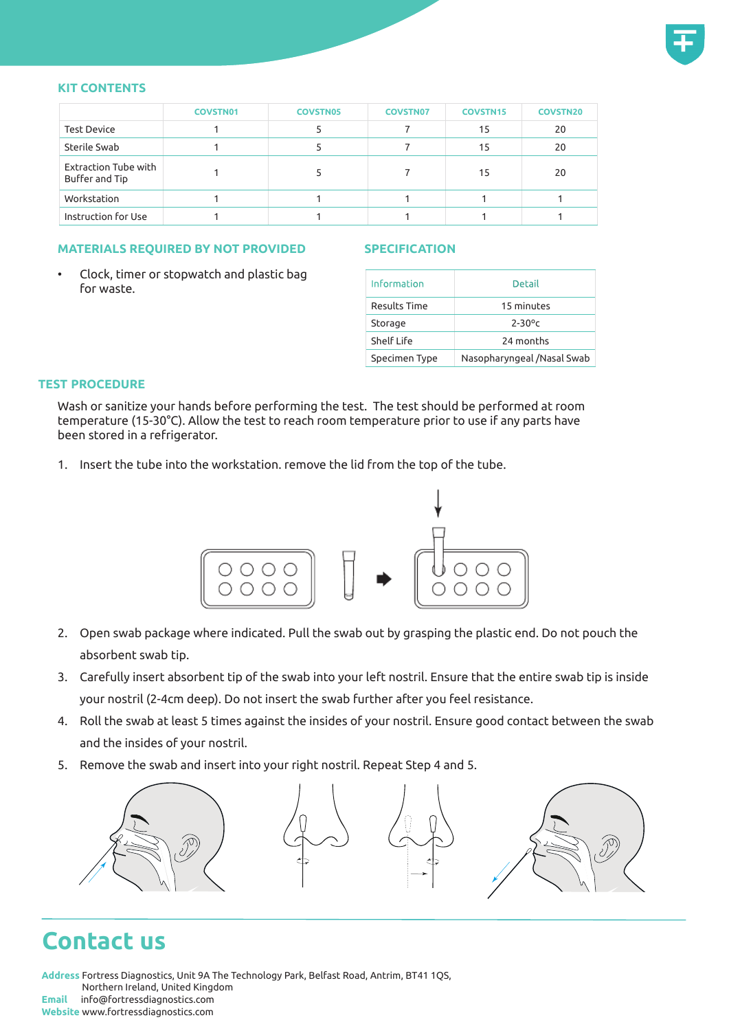

### **KIT CONTENTS**

|                                        | <b>COVSTN01</b> | <b>COVSTN05</b> | <b>COVSTN07</b> | <b>COVSTN15</b> | <b>COVSTN20</b> |
|----------------------------------------|-----------------|-----------------|-----------------|-----------------|-----------------|
| <b>Test Device</b>                     |                 |                 |                 | 15              | 20              |
| Sterile Swab                           |                 |                 |                 | 15              | 20              |
| Extraction Tube with<br>Buffer and Tip |                 |                 |                 | 15              | 20              |
| Workstation                            |                 |                 |                 |                 |                 |
| Instruction for Use                    |                 |                 |                 |                 |                 |

### **MATERIALS REQUIRED BY NOT PROVIDED**

### **SPECIFICATION**

• Clock, timer or stopwatch and plastic bag for waste.

| Information   | Detail                     |  |  |
|---------------|----------------------------|--|--|
| Results Time  | 15 minutes                 |  |  |
| Storage       | $2 - 30$ °c                |  |  |
| Shelf Life    | 24 months                  |  |  |
| Specimen Type | Nasopharyngeal /Nasal Swab |  |  |

### **TEST PROCEDURE**

Wash or sanitize your hands before performing the test. The test should be performed at room temperature (15-30°C). Allow the test to reach room temperature prior to use if any parts have been stored in a refrigerator.

1. Insert the tube into the workstation. remove the lid from the top of the tube.



- 2. Open swab package where indicated. Pull the swab out by grasping the plastic end. Do not pouch the absorbent swab tip.
- 3. Carefully insert absorbent tip of the swab into your left nostril. Ensure that the entire swab tip is inside your nostril (2-4cm deep). Do not insert the swab further after you feel resistance.
- 4. Roll the swab at least 5 times against the insides of your nostril. Ensure good contact between the swab and the insides of your nostril.
- 5. Remove the swab and insert into your right nostril. Repeat Step 4 and 5.



## **Contact us**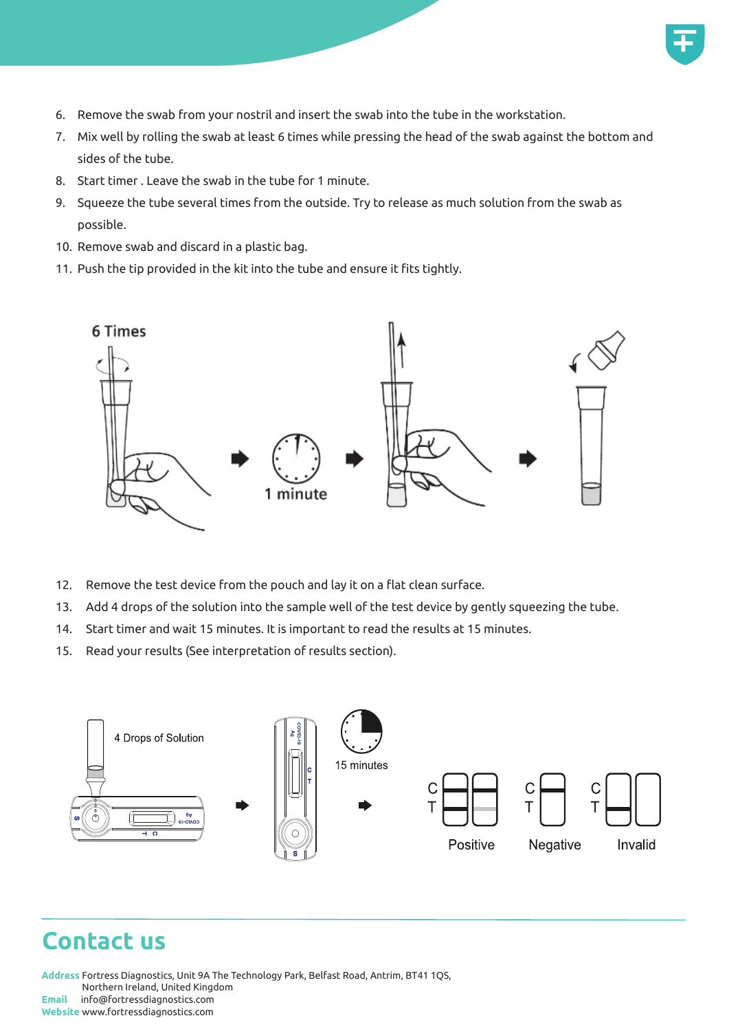

- 6. Remove the swab from your nostril and insert the swab into the tube in the workstation.
- 7. Mix well by rolling the swab at least 6 times while pressing the head of the swab against the bottom and sides of the tube.
- 8. Start timer . Leave the swab in the tube for 1 minute.
- 9. Squeeze the tube several times from the outside. Try to release as much solution from the swab as possible.
- 10. Remove swab and discard in a plastic bag.
- 11. Push the tip provided in the kit into the tube and ensure it fits tightly.



- 12. Remove the test device from the pouch and lay it on a flat clean surface.
- 13. Add 4 drops of the solution into the sample well of the test device by gently squeezing the tube.
- 14. Start timer and wait 15 minutes. It is important to read the results at 15 minutes.
- 15. Read your results (See interpretation of results section).



### **Contact us**